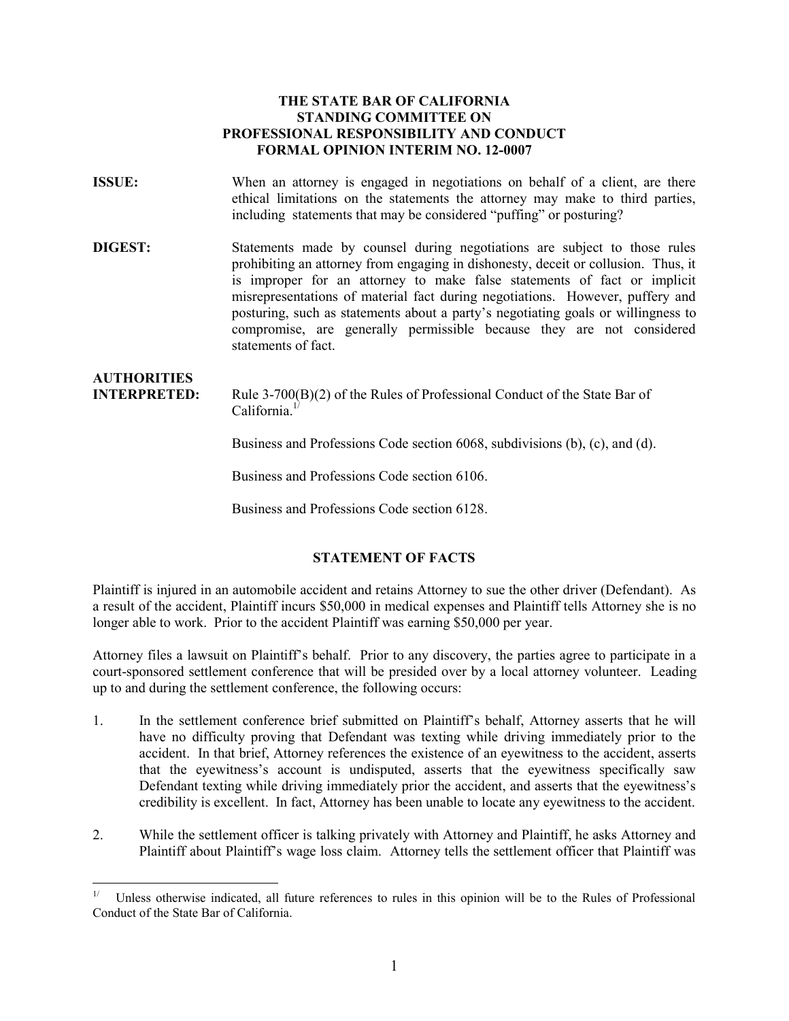#### **THE STATE BAR OF CALIFORNIA STANDING COMMITTEE ON PROFESSIONAL RESPONSIBILITY AND CONDUCT FORMAL OPINION INTERIM NO. 12-0007**

- **ISSUE:** When an attorney is engaged in negotiations on behalf of a client, are there ethical limitations on the statements the attorney may make to third parties, including statements that may be considered "puffing" or posturing?
- **DIGEST:** Statements made by counsel during negotiations are subject to those rules prohibiting an attorney from engaging in dishonesty, deceit or collusion. Thus, it is improper for an attorney to make false statements of fact or implicit misrepresentations of material fact during negotiations. However, puffery and posturing, such as statements about a party's negotiating goals or willingness to compromise, are generally permissible because they are not considered statements of fact.

# **AUTHORITIES INTERPRETED:** Rule 3-700(B)(2) of the Rules of Professional Conduct of the State Bar of California.<sup>1/</sup>

Business and Professions Code section 6068, subdivisions (b), (c), and (d).

Business and Professions Code section 6106.

Business and Professions Code section 6128.

## **STATEMENT OF FACTS**

Plaintiff is injured in an automobile accident and retains Attorney to sue the other driver (Defendant). As a result of the accident, Plaintiff incurs \$50,000 in medical expenses and Plaintiff tells Attorney she is no longer able to work. Prior to the accident Plaintiff was earning \$50,000 per year.

Attorney files a lawsuit on Plaintiff's behalf. Prior to any discovery, the parties agree to participate in a court-sponsored settlement conference that will be presided over by a local attorney volunteer. Leading up to and during the settlement conference, the following occurs:

- 1. In the settlement conference brief submitted on Plaintiff's behalf, Attorney asserts that he will have no difficulty proving that Defendant was texting while driving immediately prior to the accident. In that brief, Attorney references the existence of an eyewitness to the accident, asserts that the eyewitness's account is undisputed, asserts that the eyewitness specifically saw Defendant texting while driving immediately prior the accident, and asserts that the eyewitness's credibility is excellent. In fact, Attorney has been unable to locate any eyewitness to the accident.
- 2. While the settlement officer is talking privately with Attorney and Plaintiff, he asks Attorney and Plaintiff about Plaintiff's wage loss claim. Attorney tells the settlement officer that Plaintiff was

<span id="page-0-0"></span> $\overline{a}$ 1/ Unless otherwise indicated, all future references to rules in this opinion will be to the Rules of Professional Conduct of the State Bar of California.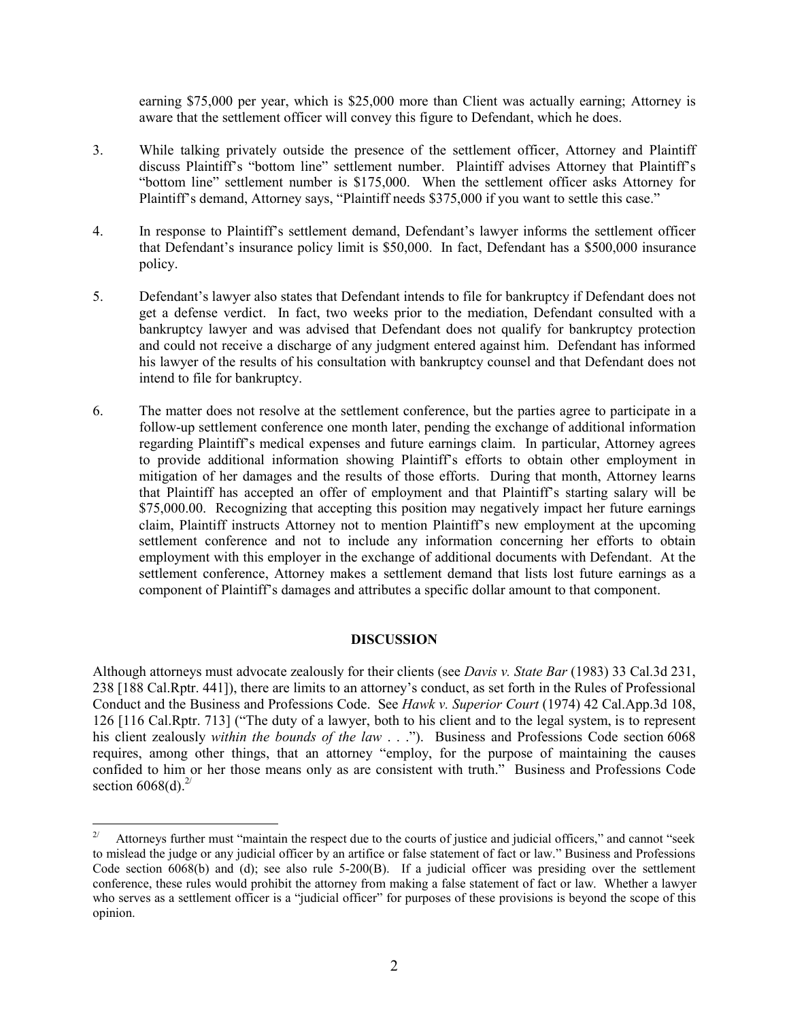earning \$75,000 per year, which is \$25,000 more than Client was actually earning; Attorney is aware that the settlement officer will convey this figure to Defendant, which he does.

- 3. While talking privately outside the presence of the settlement officer, Attorney and Plaintiff discuss Plaintiff's "bottom line" settlement number. Plaintiff advises Attorney that Plaintiff's "bottom line" settlement number is \$175,000. When the settlement officer asks Attorney for Plaintiff's demand, Attorney says, "Plaintiff needs \$375,000 if you want to settle this case."
- 4. In response to Plaintiff's settlement demand, Defendant's lawyer informs the settlement officer that Defendant's insurance policy limit is \$50,000. In fact, Defendant has a \$500,000 insurance policy.
- 5. Defendant's lawyer also states that Defendant intends to file for bankruptcy if Defendant does not get a defense verdict. In fact, two weeks prior to the mediation, Defendant consulted with a bankruptcy lawyer and was advised that Defendant does not qualify for bankruptcy protection and could not receive a discharge of any judgment entered against him. Defendant has informed his lawyer of the results of his consultation with bankruptcy counsel and that Defendant does not intend to file for bankruptcy.
- 6. The matter does not resolve at the settlement conference, but the parties agree to participate in a follow-up settlement conference one month later, pending the exchange of additional information regarding Plaintiff's medical expenses and future earnings claim. In particular, Attorney agrees to provide additional information showing Plaintiff's efforts to obtain other employment in mitigation of her damages and the results of those efforts. During that month, Attorney learns that Plaintiff has accepted an offer of employment and that Plaintiff's starting salary will be \$75,000.00. Recognizing that accepting this position may negatively impact her future earnings claim, Plaintiff instructs Attorney not to mention Plaintiff's new employment at the upcoming settlement conference and not to include any information concerning her efforts to obtain employment with this employer in the exchange of additional documents with Defendant. At the settlement conference, Attorney makes a settlement demand that lists lost future earnings as a component of Plaintiff's damages and attributes a specific dollar amount to that component.

#### **DISCUSSION**

Although attorneys must advocate zealously for their clients (see *Davis v. State Bar* (1983) 33 Cal.3d 231, 238 [188 Cal.Rptr. 441]), there are limits to an attorney's conduct, as set forth in the Rules of Professional Conduct and the Business and Professions Code. See *Hawk v. Superior Court* (1974) 42 Cal.App.3d 108, 126 [116 Cal.Rptr. 713] ("The duty of a lawyer, both to his client and to the legal system, is to represent his client zealously *within the bounds of the law* . . ."). Business and Professions Code section 6068 requires, among other things, that an attorney "employ, for the purpose of maintaining the causes confided to him or her those means only as are consistent with truth." Business and Professions Code section  $6068(d)$ <sup>2/</sup>

<span id="page-1-0"></span> $2/$ 2/ Attorneys further must "maintain the respect due to the courts of justice and judicial officers," and cannot "seek to mislead the judge or any judicial officer by an artifice or false statement of fact or law." Business and Professions Code section 6068(b) and (d); see also rule 5-200(B). If a judicial officer was presiding over the settlement conference, these rules would prohibit the attorney from making a false statement of fact or law. Whether a lawyer who serves as a settlement officer is a "judicial officer" for purposes of these provisions is beyond the scope of this opinion.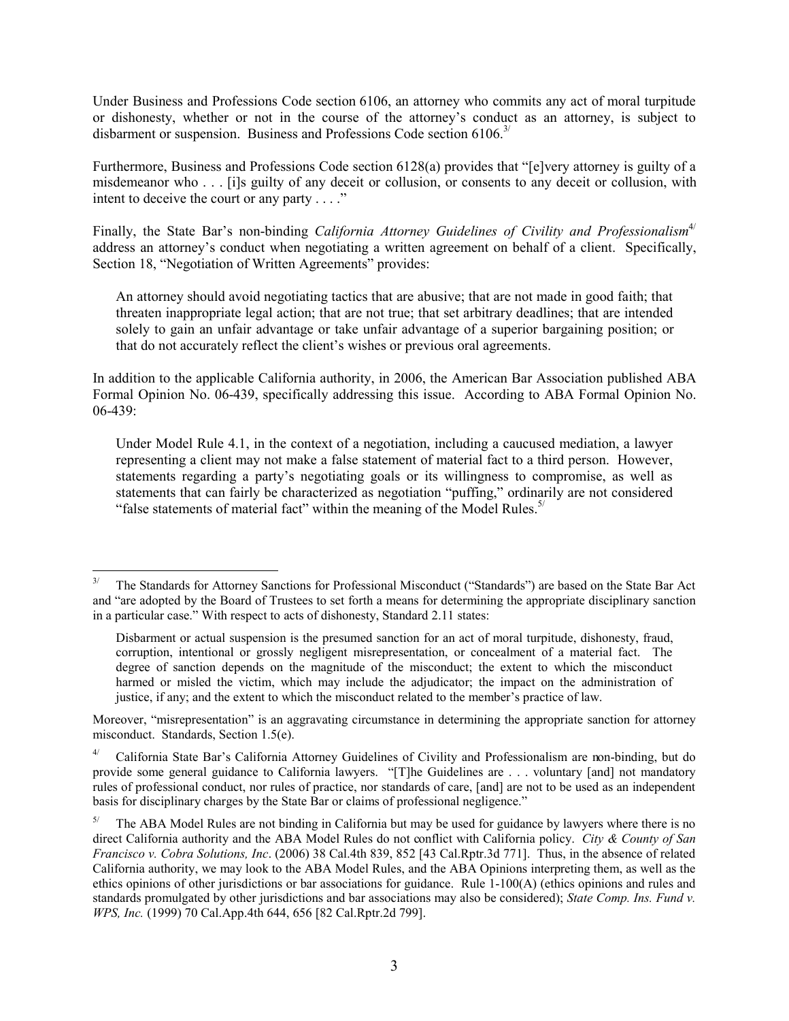Under Business and Professions Code section 6106, an attorney who commits any act of moral turpitude or dishonesty, whether or not in the course of the attorney's conduct as an attorney, is subject to disbarment or suspension. Business and Professions Code section 6106.<sup>3/</sup>

Furthermore, Business and Professions Code section 6128(a) provides that "[e]very attorney is guilty of a misdemeanor who . . . [i]s guilty of any deceit or collusion, or consents to any deceit or collusion, with intent to deceive the court or any party . . . ."

Finally, the State Bar's non-binding *California Attorney Guidelines of Civility and Professionalism<sup>[4/](#page-2-1)</sup>* address an attorney's conduct when negotiating a written agreement on behalf of a client. Specifically, Section 18, "Negotiation of Written Agreements" provides:

An attorney should avoid negotiating tactics that are abusive; that are not made in good faith; that threaten inappropriate legal action; that are not true; that set arbitrary deadlines; that are intended solely to gain an unfair advantage or take unfair advantage of a superior bargaining position; or that do not accurately reflect the client's wishes or previous oral agreements.

In addition to the applicable California authority, in 2006, the American Bar Association published ABA Formal Opinion No. 06-439, specifically addressing this issue. According to ABA Formal Opinion No. 06-439:

Under Model Rule 4.1, in the context of a negotiation, including a caucused mediation, a lawyer representing a client may not make a false statement of material fact to a third person. However, statements regarding a party's negotiating goals or its willingness to compromise, as well as statements that can fairly be characterized as negotiation "puffing," ordinarily are not considered "false statements of material fact" within the meaning of the Model Rules. $5/$ 

Moreover, "misrepresentation" is an aggravating circumstance in determining the appropriate sanction for attorney misconduct. Standards, Section 1.5(e).

<span id="page-2-1"></span>4/ California State Bar's California Attorney Guidelines of Civility and Professionalism are non-binding, but do provide some general guidance to California lawyers. "[T]he Guidelines are . . . voluntary [and] not mandatory rules of professional conduct, nor rules of practice, nor standards of care, [and] are not to be used as an independent basis for disciplinary charges by the State Bar or claims of professional negligence."

<span id="page-2-0"></span> $\overline{a}$ 3/ The Standards for Attorney Sanctions for Professional Misconduct ("Standards") are based on the State Bar Act and "are adopted by the Board of Trustees to set forth a means for determining the appropriate disciplinary sanction in a particular case." With respect to acts of dishonesty, Standard 2.11 states:

Disbarment or actual suspension is the presumed sanction for an act of moral turpitude, dishonesty, fraud, corruption, intentional or grossly negligent misrepresentation, or concealment of a material fact. The degree of sanction depends on the magnitude of the misconduct; the extent to which the misconduct harmed or misled the victim, which may include the adjudicator; the impact on the administration of justice, if any; and the extent to which the misconduct related to the member's practice of law.

<span id="page-2-2"></span> $5/$  The ABA Model Rules are not binding in California but may be used for guidance by lawyers where there is no direct California authority and the ABA Model Rules do not conflict with California policy. *City & County of San Francisco v. Cobra Solutions, Inc*. (2006) 38 Cal.4th 839, 852 [43 Cal.Rptr.3d 771]. Thus, in the absence of related California authority, we may look to the ABA Model Rules, and the ABA Opinions interpreting them, as well as the ethics opinions of other jurisdictions or bar associations for guidance. Rule 1-100(A) (ethics opinions and rules and standards promulgated by other jurisdictions and bar associations may also be considered); *State Comp. Ins. Fund v. WPS, Inc.* (1999) 70 Cal.App.4th 644, 656 [82 Cal.Rptr.2d 799].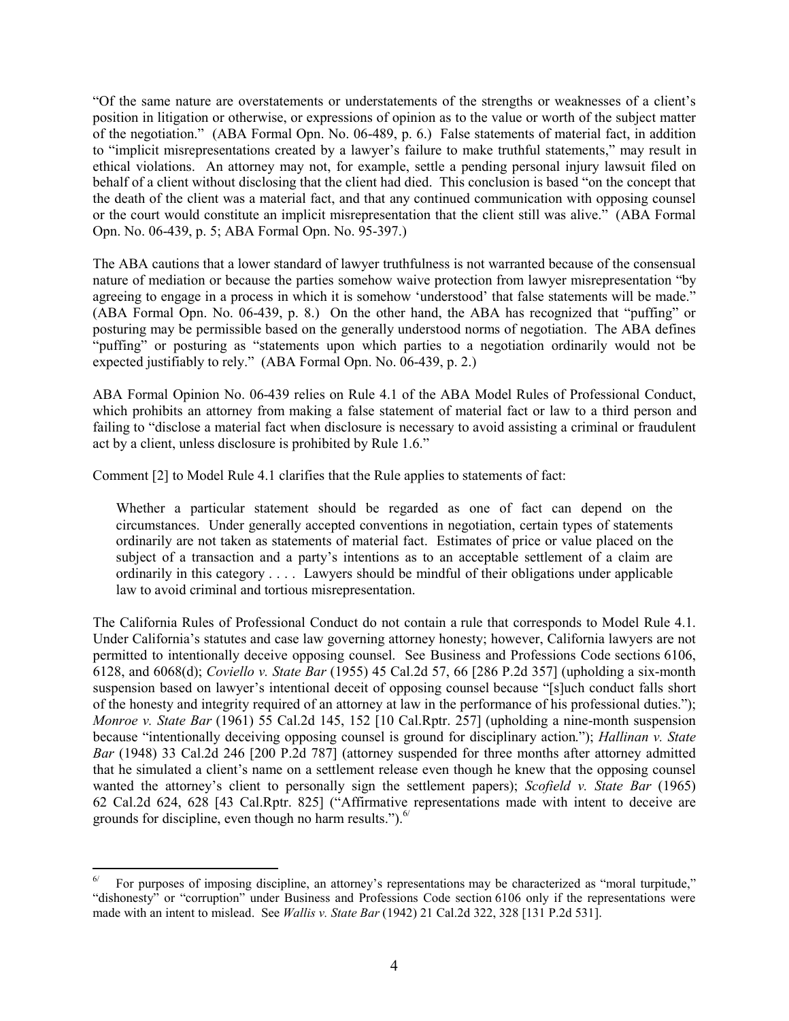"Of the same nature are overstatements or understatements of the strengths or weaknesses of a client's position in litigation or otherwise, or expressions of opinion as to the value or worth of the subject matter of the negotiation." (ABA Formal Opn. No. 06-489, p. 6.) False statements of material fact, in addition to "implicit misrepresentations created by a lawyer's failure to make truthful statements," may result in ethical violations. An attorney may not, for example, settle a pending personal injury lawsuit filed on behalf of a client without disclosing that the client had died. This conclusion is based "on the concept that the death of the client was a material fact, and that any continued communication with opposing counsel or the court would constitute an implicit misrepresentation that the client still was alive." (ABA Formal Opn. No. 06-439, p. 5; ABA Formal Opn. No. 95-397.)

The ABA cautions that a lower standard of lawyer truthfulness is not warranted because of the consensual nature of mediation or because the parties somehow waive protection from lawyer misrepresentation "by agreeing to engage in a process in which it is somehow 'understood' that false statements will be made." (ABA Formal Opn. No. 06-439, p. 8.) On the other hand, the ABA has recognized that "puffing" or posturing may be permissible based on the generally understood norms of negotiation. The ABA defines "puffing" or posturing as "statements upon which parties to a negotiation ordinarily would not be expected justifiably to rely." (ABA Formal Opn. No. 06-439, p. 2.)

ABA Formal Opinion No. 06-439 relies on Rule 4.1 of the ABA Model Rules of Professional Conduct, which prohibits an attorney from making a false statement of material fact or law to a third person and failing to "disclose a material fact when disclosure is necessary to avoid assisting a criminal or fraudulent act by a client, unless disclosure is prohibited by Rule 1.6."

Comment [2] to Model Rule 4.1 clarifies that the Rule applies to statements of fact:

Whether a particular statement should be regarded as one of fact can depend on the circumstances. Under generally accepted conventions in negotiation, certain types of statements ordinarily are not taken as statements of material fact. Estimates of price or value placed on the subject of a transaction and a party's intentions as to an acceptable settlement of a claim are ordinarily in this category . . . . Lawyers should be mindful of their obligations under applicable law to avoid criminal and tortious misrepresentation.

The California Rules of Professional Conduct do not contain a rule that corresponds to Model Rule 4.1. Under California's statutes and case law governing attorney honesty; however, California lawyers are not permitted to intentionally deceive opposing counsel. See Business and Professions Code sections 6106, 6128, and 6068(d); *Coviello v. State Bar* (1955) 45 Cal.2d 57, 66 [286 P.2d 357] (upholding a six-month suspension based on lawyer's intentional deceit of opposing counsel because "[s]uch conduct falls short of the honesty and integrity required of an attorney at law in the performance of his professional duties."); *Monroe v. State Bar* (1961) 55 Cal.2d 145, 152 [10 Cal.Rptr. 257] (upholding a nine-month suspension because "intentionally deceiving opposing counsel is ground for disciplinary action."); *Hallinan v. State Bar* (1948) 33 Cal.2d 246 [200 P.2d 787] (attorney suspended for three months after attorney admitted that he simulated a client's name on a settlement release even though he knew that the opposing counsel wanted the attorney's client to personally sign the settlement papers); *Scofield v. State Bar* (1965) 62 Cal.2d 624, 628 [43 Cal.Rptr. 825] ("Affirmative representations made with intent to deceive are grounds for discipline, even though no harm results.").<sup>[6/](#page-3-0)</sup>

<span id="page-3-0"></span> $\overline{a}$ 6/ For purposes of imposing discipline, an attorney's representations may be characterized as "moral turpitude," "dishonesty" or "corruption" under Business and Professions Code section 6106 only if the representations were made with an intent to mislead. See *Wallis v. State Bar* (1942) 21 Cal.2d 322, 328 [131 P.2d 531].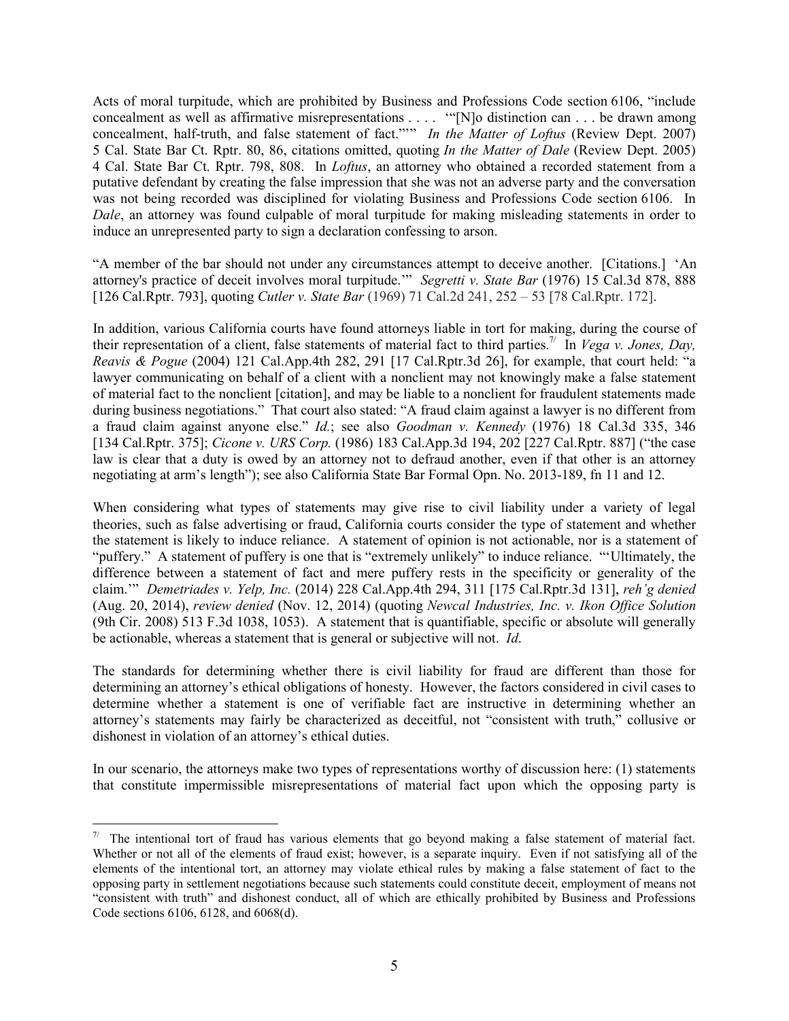Acts of moral turpitude, which are prohibited by Business and Professions Code section 6106, "include concealment as well as affirmative misrepresentations . . . . '"[N]o distinction can . . . be drawn among concealment, half-truth, and false statement of fact."'" *In the Matter of Loftus* (Review Dept. 2007) 5 Cal. State Bar Ct. Rptr. 80, 86, citations omitted, quoting *In the Matter of Dale* (Review Dept. 2005) 4 Cal. State Bar Ct. Rptr. 798, 808. In *Loftus*, an attorney who obtained a recorded statement from a putative defendant by creating the false impression that she was not an adverse party and the conversation was not being recorded was disciplined for violating Business and Professions Code section 6106. In *Dale*, an attorney was found culpable of moral turpitude for making misleading statements in order to induce an unrepresented party to sign a declaration confessing to arson.

"A member of the bar should not under any circumstances attempt to deceive another. [Citations.] 'An attorney's practice of deceit involves moral turpitude.'" *Segretti v. State Bar* (1976) 15 Cal.3d 878, 888 [126 Cal.Rptr. 793], quoting *Cutler v. State Bar* (1969) 71 Cal.2d 241, 252 – 53 [78 Cal.Rptr. 172].

In addition, various California courts have found attorneys liable in tort for making, during the course of theirrepresentation of a client, false statements of material fact to third parties.<sup>7/</sup> In *Vega v. Jones, Day, Reavis & Pogue* (2004) 121 Cal.App.4th 282, 291 [17 Cal.Rptr.3d 26], for example, that court held: "a lawyer communicating on behalf of a client with a nonclient may not knowingly make a false statement of material fact to the nonclient [citation], and may be liable to a nonclient for fraudulent statements made during business negotiations." That court also stated: "A fraud claim against a lawyer is no different from a fraud claim against anyone else." *Id.*; see also *Goodman v. Kennedy* (1976) 18 Cal.3d 335, 346 [134 Cal.Rptr. 375]; *Cicone v. URS Corp.* (1986) 183 Cal.App.3d 194, 202 [227 Cal.Rptr. 887] ("the case law is clear that a duty is owed by an attorney not to defraud another, even if that other is an attorney negotiating at arm's length"); see also California State Bar Formal Opn. No. 2013-189, fn 11 and 12.

When considering what types of statements may give rise to civil liability under a variety of legal theories, such as false advertising or fraud, California courts consider the type of statement and whether the statement is likely to induce reliance. A statement of opinion is not actionable, nor is a statement of "puffery." A statement of puffery is one that is "extremely unlikely" to induce reliance. "'Ultimately, the difference between a statement of fact and mere puffery rests in the specificity or generality of the claim.'" *Demetriades v. Yelp, Inc.* (2014) 228 Cal.App.4th 294, 311 [175 Cal.Rptr.3d 131], *reh'g denied* (Aug. 20, 2014), *review denied* (Nov. 12, 2014) (quoting *Newcal Industries, Inc. v. Ikon Office Solution* (9th Cir. 2008) 513 F.3d 1038, 1053). A statement that is quantifiable, specific or absolute will generally be actionable, whereas a statement that is general or subjective will not. *Id*.

The standards for determining whether there is civil liability for fraud are different than those for determining an attorney's ethical obligations of honesty. However, the factors considered in civil cases to determine whether a statement is one of verifiable fact are instructive in determining whether an attorney's statements may fairly be characterized as deceitful, not "consistent with truth," collusive or dishonest in violation of an attorney's ethical duties.

In our scenario, the attorneys make two types of representations worthy of discussion here: (1) statements that constitute impermissible misrepresentations of material fact upon which the opposing party is

<span id="page-4-0"></span><sup>&</sup>lt;sup>7/</sup> The intentional tort of fraud has various elements that go beyond making a false statement of material fact. Whether or not all of the elements of fraud exist; however, is a separate inquiry. Even if not satisfying all of the elements of the intentional tort, an attorney may violate ethical rules by making a false statement of fact to the opposing party in settlement negotiations because such statements could constitute deceit, employment of means not "consistent with truth" and dishonest conduct, all of which are ethically prohibited by Business and Professions Code sections 6106, 6128, and 6068(d).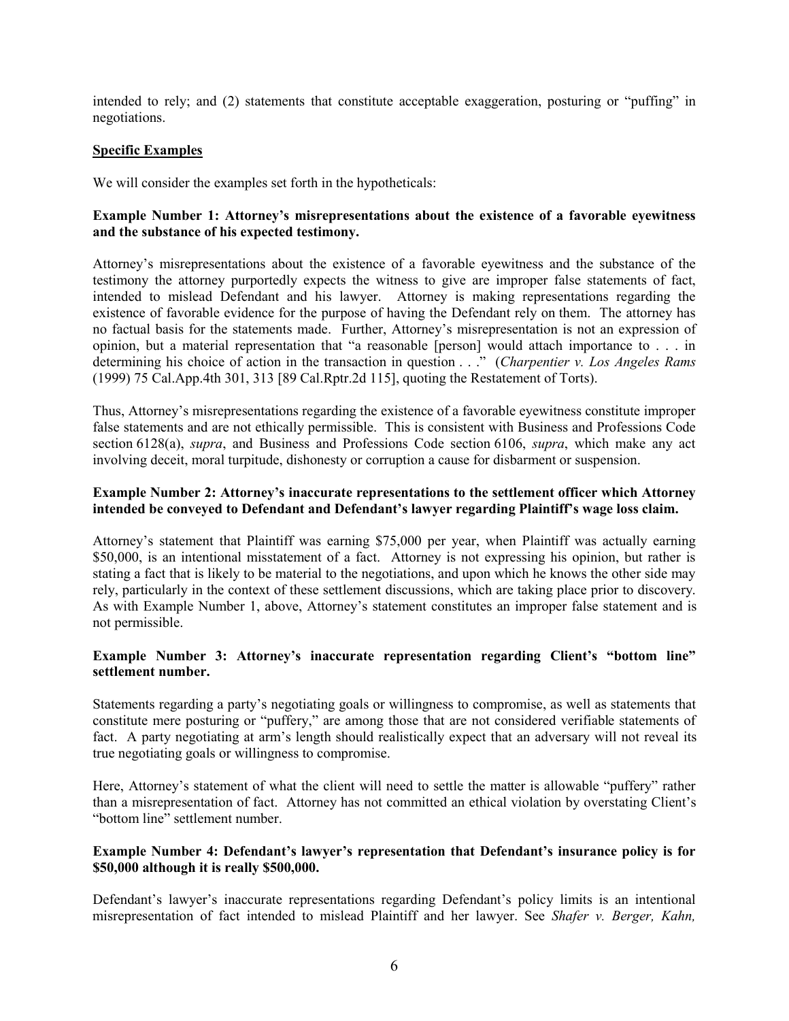intended to rely; and (2) statements that constitute acceptable exaggeration, posturing or "puffing" in negotiations.

### **Specific Examples**

We will consider the examples set forth in the hypotheticals:

### **Example Number 1: Attorney's misrepresentations about the existence of a favorable eyewitness and the substance of his expected testimony.**

Attorney's misrepresentations about the existence of a favorable eyewitness and the substance of the testimony the attorney purportedly expects the witness to give are improper false statements of fact, intended to mislead Defendant and his lawyer. Attorney is making representations regarding the existence of favorable evidence for the purpose of having the Defendant rely on them. The attorney has no factual basis for the statements made. Further, Attorney's misrepresentation is not an expression of opinion, but a material representation that "a reasonable [person] would attach importance to . . . in determining his choice of action in the transaction in question . . ." (*Charpentier v. Los Angeles Rams* (1999) 75 Cal.App.4th 301, 313 [89 Cal.Rptr.2d 115], quoting the Restatement of Torts).

Thus, Attorney's misrepresentations regarding the existence of a favorable eyewitness constitute improper false statements and are not ethically permissible. This is consistent with Business and Professions Code section 6128(a), *supra*, and Business and Professions Code section 6106, *supra*, which make any act involving deceit, moral turpitude, dishonesty or corruption a cause for disbarment or suspension.

### **Example Number 2: Attorney's inaccurate representations to the settlement officer which Attorney intended be conveyed to Defendant and Defendant's lawyer regarding Plaintiff's wage loss claim.**

Attorney's statement that Plaintiff was earning \$75,000 per year, when Plaintiff was actually earning \$50,000, is an intentional misstatement of a fact. Attorney is not expressing his opinion, but rather is stating a fact that is likely to be material to the negotiations, and upon which he knows the other side may rely, particularly in the context of these settlement discussions, which are taking place prior to discovery. As with Example Number 1, above, Attorney's statement constitutes an improper false statement and is not permissible.

### **Example Number 3: Attorney's inaccurate representation regarding Client's "bottom line" settlement number.**

Statements regarding a party's negotiating goals or willingness to compromise, as well as statements that constitute mere posturing or "puffery," are among those that are not considered verifiable statements of fact. A party negotiating at arm's length should realistically expect that an adversary will not reveal its true negotiating goals or willingness to compromise.

Here, Attorney's statement of what the client will need to settle the matter is allowable "puffery" rather than a misrepresentation of fact. Attorney has not committed an ethical violation by overstating Client's "bottom line" settlement number.

### **Example Number 4: Defendant's lawyer's representation that Defendant's insurance policy is for \$50,000 although it is really \$500,000.**

Defendant's lawyer's inaccurate representations regarding Defendant's policy limits is an intentional misrepresentation of fact intended to mislead Plaintiff and her lawyer. See *Shafer v. Berger, Kahn,*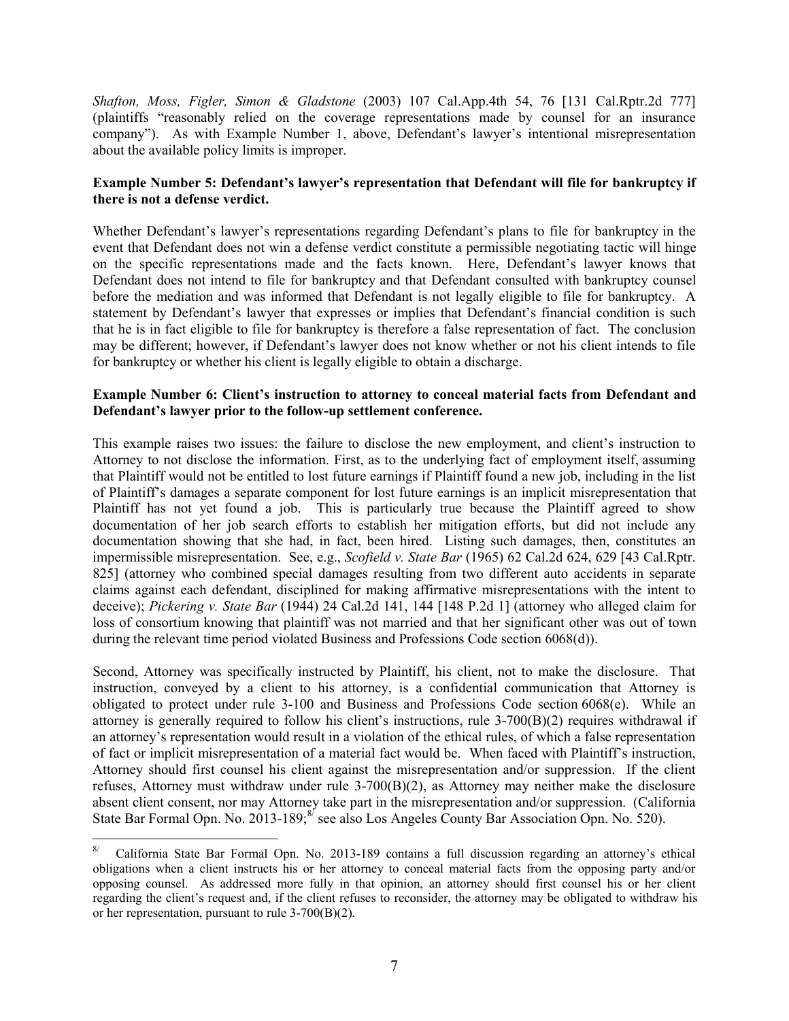*Shafton, Moss, Figler, Simon & Gladstone* (2003) 107 Cal.App.4th 54, 76 [131 Cal.Rptr.2d 777] (plaintiffs "reasonably relied on the coverage representations made by counsel for an insurance company"). As with Example Number 1, above, Defendant's lawyer's intentional misrepresentation about the available policy limits is improper.

### **Example Number 5: Defendant's lawyer's representation that Defendant will file for bankruptcy if there is not a defense verdict.**

Whether Defendant's lawyer's representations regarding Defendant's plans to file for bankruptcy in the event that Defendant does not win a defense verdict constitute a permissible negotiating tactic will hinge on the specific representations made and the facts known. Here, Defendant's lawyer knows that Defendant does not intend to file for bankruptcy and that Defendant consulted with bankruptcy counsel before the mediation and was informed that Defendant is not legally eligible to file for bankruptcy. A statement by Defendant's lawyer that expresses or implies that Defendant's financial condition is such that he is in fact eligible to file for bankruptcy is therefore a false representation of fact. The conclusion may be different; however, if Defendant's lawyer does not know whether or not his client intends to file for bankruptcy or whether his client is legally eligible to obtain a discharge.

### **Example Number 6: Client's instruction to attorney to conceal material facts from Defendant and Defendant's lawyer prior to the follow-up settlement conference.**

This example raises two issues: the failure to disclose the new employment, and client's instruction to Attorney to not disclose the information. First, as to the underlying fact of employment itself, assuming that Plaintiff would not be entitled to lost future earnings if Plaintiff found a new job, including in the list of Plaintiff's damages a separate component for lost future earnings is an implicit misrepresentation that Plaintiff has not yet found a job. This is particularly true because the Plaintiff agreed to show documentation of her job search efforts to establish her mitigation efforts, but did not include any documentation showing that she had, in fact, been hired. Listing such damages, then, constitutes an impermissible misrepresentation. See, e.g., *Scofield v. State Bar* (1965) 62 Cal.2d 624, 629 [43 Cal.Rptr. 825] (attorney who combined special damages resulting from two different auto accidents in separate claims against each defendant, disciplined for making affirmative misrepresentations with the intent to deceive); *Pickering v. State Bar* (1944) 24 Cal.2d 141, 144 [148 P.2d 1] (attorney who alleged claim for loss of consortium knowing that plaintiff was not married and that her significant other was out of town during the relevant time period violated Business and Professions Code section 6068(d)).

Second, Attorney was specifically instructed by Plaintiff, his client, not to make the disclosure. That instruction, conveyed by a client to his attorney, is a confidential communication that Attorney is obligated to protect under rule 3-100 and Business and Professions Code section 6068(e). While an attorney is generally required to follow his client's instructions, rule  $3-700(B)(2)$  requires withdrawal if an attorney's representation would result in a violation of the ethical rules, of which a false representation of fact or implicit misrepresentation of a material fact would be. When faced with Plaintiff's instruction, Attorney should first counsel his client against the misrepresentation and/or suppression. If the client refuses, Attorney must withdraw under rule 3-700(B)(2), as Attorney may neither make the disclosure absent client consent, nor may Attorney take part in the misrepresentation and/or suppression. (California State Bar Formal Opn. No. 2013-189;<sup>[8/](#page-6-0)</sup> see also Los Angeles County Bar Association Opn. No. 520).

<span id="page-6-0"></span> $8/$ California State Bar Formal Opn. No. 2013-189 contains a full discussion regarding an attorney's ethical obligations when a client instructs his or her attorney to conceal material facts from the opposing party and/or opposing counsel. As addressed more fully in that opinion, an attorney should first counsel his or her client regarding the client's request and, if the client refuses to reconsider, the attorney may be obligated to withdraw his or her representation, pursuant to rule 3-700(B)(2).